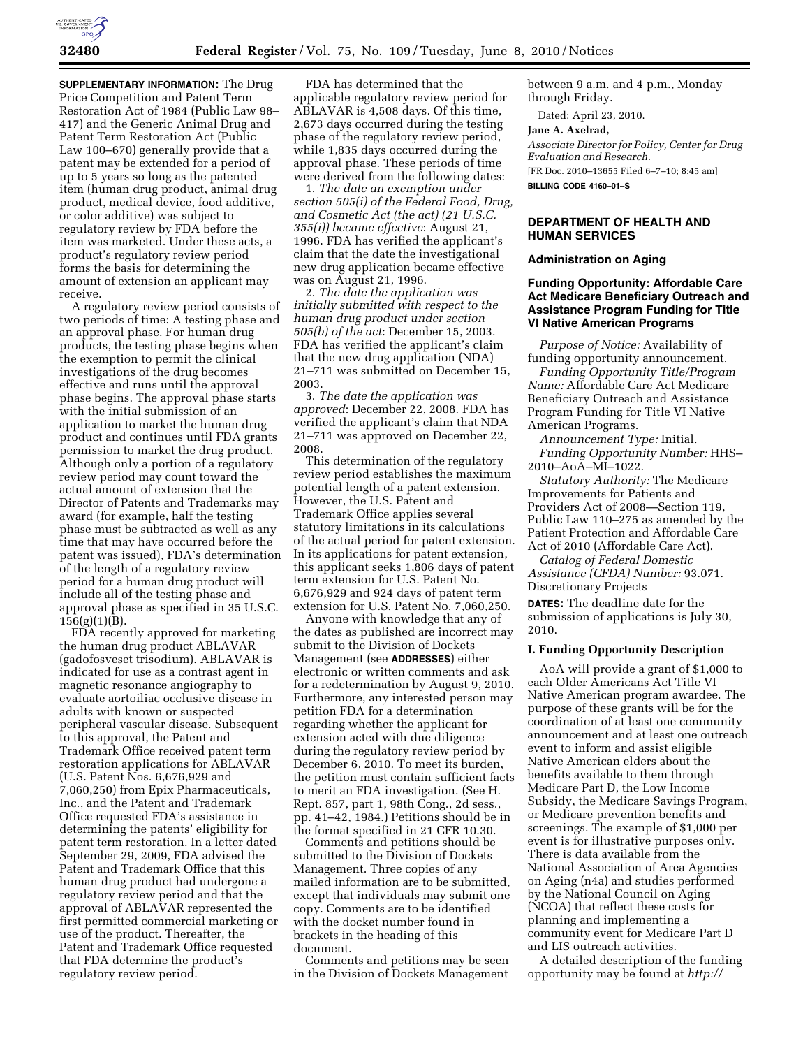

**SUPPLEMENTARY INFORMATION:** The Drug Price Competition and Patent Term Restoration Act of 1984 (Public Law 98– 417) and the Generic Animal Drug and Patent Term Restoration Act (Public Law 100–670) generally provide that a patent may be extended for a period of up to 5 years so long as the patented item (human drug product, animal drug product, medical device, food additive, or color additive) was subject to regulatory review by FDA before the item was marketed. Under these acts, a product's regulatory review period forms the basis for determining the amount of extension an applicant may receive.

A regulatory review period consists of two periods of time: A testing phase and an approval phase. For human drug products, the testing phase begins when the exemption to permit the clinical investigations of the drug becomes effective and runs until the approval phase begins. The approval phase starts with the initial submission of an application to market the human drug product and continues until FDA grants permission to market the drug product. Although only a portion of a regulatory review period may count toward the actual amount of extension that the Director of Patents and Trademarks may award (for example, half the testing phase must be subtracted as well as any time that may have occurred before the patent was issued), FDA's determination of the length of a regulatory review period for a human drug product will include all of the testing phase and approval phase as specified in 35 U.S.C.  $156(g)(1)(B)$ .

FDA recently approved for marketing the human drug product ABLAVAR (gadofosveset trisodium). ABLAVAR is indicated for use as a contrast agent in magnetic resonance angiography to evaluate aortoiliac occlusive disease in adults with known or suspected peripheral vascular disease. Subsequent to this approval, the Patent and Trademark Office received patent term restoration applications for ABLAVAR (U.S. Patent Nos. 6,676,929 and 7,060,250) from Epix Pharmaceuticals, Inc., and the Patent and Trademark Office requested FDA's assistance in determining the patents' eligibility for patent term restoration. In a letter dated September 29, 2009, FDA advised the Patent and Trademark Office that this human drug product had undergone a regulatory review period and that the approval of ABLAVAR represented the first permitted commercial marketing or use of the product. Thereafter, the Patent and Trademark Office requested that FDA determine the product's regulatory review period.

FDA has determined that the applicable regulatory review period for ABLAVAR is 4,508 days. Of this time, 2,673 days occurred during the testing phase of the regulatory review period, while 1,835 days occurred during the approval phase. These periods of time were derived from the following dates:

1. *The date an exemption under section 505(i) of the Federal Food, Drug, and Cosmetic Act (the act) (21 U.S.C. 355(i)) became effective*: August 21, 1996. FDA has verified the applicant's claim that the date the investigational new drug application became effective was on August 21, 1996.

2. *The date the application was initially submitted with respect to the human drug product under section 505(b) of the act*: December 15, 2003. FDA has verified the applicant's claim that the new drug application (NDA) 21–711 was submitted on December 15, 2003.

3. *The date the application was approved*: December 22, 2008. FDA has verified the applicant's claim that NDA 21–711 was approved on December 22, 2008.

This determination of the regulatory review period establishes the maximum potential length of a patent extension. However, the U.S. Patent and Trademark Office applies several statutory limitations in its calculations of the actual period for patent extension. In its applications for patent extension, this applicant seeks 1,806 days of patent term extension for U.S. Patent No. 6,676,929 and 924 days of patent term extension for U.S. Patent No. 7,060,250.

Anyone with knowledge that any of the dates as published are incorrect may submit to the Division of Dockets Management (see **ADDRESSES**) either electronic or written comments and ask for a redetermination by August 9, 2010. Furthermore, any interested person may petition FDA for a determination regarding whether the applicant for extension acted with due diligence during the regulatory review period by December 6, 2010. To meet its burden, the petition must contain sufficient facts to merit an FDA investigation. (See H. Rept. 857, part 1, 98th Cong., 2d sess., pp. 41–42, 1984.) Petitions should be in the format specified in 21 CFR 10.30.

Comments and petitions should be submitted to the Division of Dockets Management. Three copies of any mailed information are to be submitted, except that individuals may submit one copy. Comments are to be identified with the docket number found in brackets in the heading of this document.

Comments and petitions may be seen in the Division of Dockets Management between 9 a.m. and 4 p.m., Monday through Friday.

Dated: April 23, 2010.

### **Jane A. Axelrad,**

*Associate Director for Policy, Center for Drug Evaluation and Research.* 

[FR Doc. 2010–13655 Filed 6–7–10; 8:45 am] **BILLING CODE 4160–01–S** 

## **DEPARTMENT OF HEALTH AND HUMAN SERVICES**

### **Administration on Aging**

# **Funding Opportunity: Affordable Care Act Medicare Beneficiary Outreach and Assistance Program Funding for Title VI Native American Programs**

*Purpose of Notice:* Availability of funding opportunity announcement.

*Funding Opportunity Title/Program Name:* Affordable Care Act Medicare Beneficiary Outreach and Assistance Program Funding for Title VI Native American Programs.

*Announcement Type:* Initial. *Funding Opportunity Number:* HHS– 2010–AoA–MI–1022.

*Statutory Authority:* The Medicare Improvements for Patients and Providers Act of 2008—Section 119, Public Law 110–275 as amended by the Patient Protection and Affordable Care Act of 2010 (Affordable Care Act).

*Catalog of Federal Domestic Assistance (CFDA) Number:* 93.071. Discretionary Projects

**DATES:** The deadline date for the submission of applications is July 30, 2010.

## **I. Funding Opportunity Description**

AoA will provide a grant of \$1,000 to each Older Americans Act Title VI Native American program awardee. The purpose of these grants will be for the coordination of at least one community announcement and at least one outreach event to inform and assist eligible Native American elders about the benefits available to them through Medicare Part D, the Low Income Subsidy, the Medicare Savings Program, or Medicare prevention benefits and screenings. The example of \$1,000 per event is for illustrative purposes only. There is data available from the National Association of Area Agencies on Aging (n4a) and studies performed by the National Council on Aging (NCOA) that reflect these costs for planning and implementing a community event for Medicare Part D and LIS outreach activities.

A detailed description of the funding opportunity may be found at *http://*